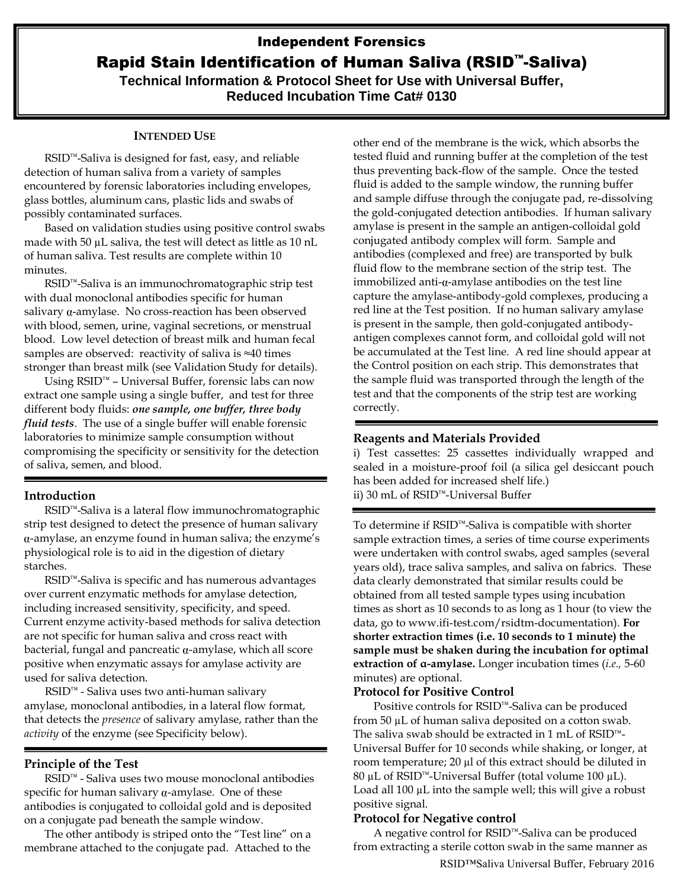# Independent Forensics Rapid Stain Identification of Human Saliva (RSID™-Saliva) **Technical Information & Protocol Sheet for Use with Universal Buffer, Reduced Incubation Time Cat# 0130**

## **INTENDED USE**

RSID™-Saliva is designed for fast, easy, and reliable detection of human saliva from a variety of samples encountered by forensic laboratories including envelopes, glass bottles, aluminum cans, plastic lids and swabs of possibly contaminated surfaces.

Based on validation studies using positive control swabs made with 50  $\mu$ L saliva, the test will detect as little as 10 nL of human saliva. Test results are complete within 10 minutes.

RSID™-Saliva is an immunochromatographic strip test with dual monoclonal antibodies specific for human salivary  $\alpha$ -amylase. No cross-reaction has been observed with blood, semen, urine, vaginal secretions, or menstrual blood. Low level detection of breast milk and human fecal samples are observed: reactivity of saliva is ≈40 times stronger than breast milk (see Validation Study for details).

Using RSID™ – Universal Buffer, forensic labs can now extract one sample using a single buffer, and test for three different body fluids: *one sample, one buffer, three body fluid tests*. The use of a single buffer will enable forensic laboratories to minimize sample consumption without compromising the specificity or sensitivity for the detection of saliva, semen, and blood.

### **Introduction**

RSID™-Saliva is a lateral flow immunochromatographic strip test designed to detect the presence of human salivary -amylase, an enzyme found in human saliva; the enzyme's physiological role is to aid in the digestion of dietary starches.

RSID™-Saliva is specific and has numerous advantages over current enzymatic methods for amylase detection, including increased sensitivity, specificity, and speed. Current enzyme activity-based methods for saliva detection are not specific for human saliva and cross react with bacterial, fungal and pancreatic  $\alpha$ -amylase, which all score positive when enzymatic assays for amylase activity are used for saliva detection.

RSID™ - Saliva uses two anti-human salivary amylase, monoclonal antibodies, in a lateral flow format, that detects the *presence* of salivary amylase, rather than the *activity* of the enzyme (see Specificity below).

## **Principle of the Test**

RSID™ - Saliva uses two mouse monoclonal antibodies specific for human salivary  $\alpha$ -amylase. One of these antibodies is conjugated to colloidal gold and is deposited on a conjugate pad beneath the sample window.

The other antibody is striped onto the "Test line" on a membrane attached to the conjugate pad. Attached to the

other end of the membrane is the wick, which absorbs the tested fluid and running buffer at the completion of the test thus preventing back-flow of the sample. Once the tested fluid is added to the sample window, the running buffer and sample diffuse through the conjugate pad, re-dissolving the gold-conjugated detection antibodies. If human salivary amylase is present in the sample an antigen-colloidal gold conjugated antibody complex will form. Sample and antibodies (complexed and free) are transported by bulk fluid flow to the membrane section of the strip test. The immobilized anti- $\alpha$ -amylase antibodies on the test line capture the amylase-antibody-gold complexes, producing a red line at the Test position. If no human salivary amylase is present in the sample, then gold-conjugated antibodyantigen complexes cannot form, and colloidal gold will not be accumulated at the Test line. A red line should appear at the Control position on each strip. This demonstrates that the sample fluid was transported through the length of the test and that the components of the strip test are working correctly.

## **Reagents and Materials Provided**

i) Test cassettes: 25 cassettes individually wrapped and sealed in a moisture-proof foil (a silica gel desiccant pouch has been added for increased shelf life.) ii) 30 mL of RSID™-Universal Buffer

To determine if RSID™-Saliva is compatible with shorter sample extraction times, a series of time course experiments were undertaken with control swabs, aged samples (several years old), trace saliva samples, and saliva on fabrics. These data clearly demonstrated that similar results could be obtained from all tested sample types using incubation times as short as 10 seconds to as long as 1 hour (to view the data, go to [www.ifi-test.com/rsidtm-documentation\)](http://www.ifi-test.com/rsidtm-documentation). **For shorter extraction times (i.e. 10 seconds to 1 minute) the sample must be shaken during the incubation for optimal extraction of α-amylase.** Longer incubation times (*i.e.,* 5-60 minutes) are optional.

## **Protocol for Positive Control**

Positive controls for RSID™-Saliva can be produced from 50 µL of human saliva deposited on a cotton swab. The saliva swab should be extracted in 1 mL of RSID™- Universal Buffer for 10 seconds while shaking, or longer, at room temperature; 20 µl of this extract should be diluted in 80 µL of RSID™-Universal Buffer (total volume 100 µL). Load all 100 µL into the sample well; this will give a robust positive signal.

## **Protocol for Negative control**

A negative control for RSID™-Saliva can be produced from extracting a sterile cotton swab in the same manner as